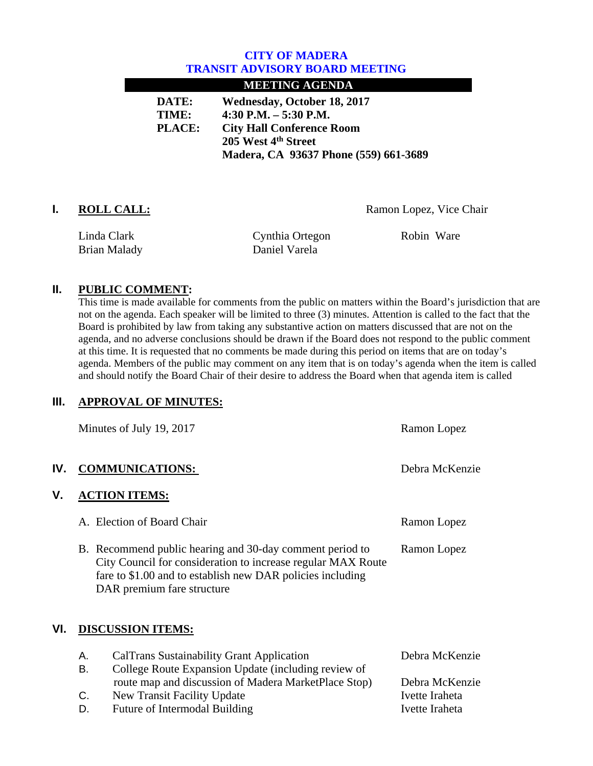## **CITY OF MADERA TRANSIT ADVISORY BOARD MEETING**

### **MEETING AGENDA**

**DATE: Wednesday, October 18, 2017 TIME: 4:30 P.M. – 5:30 P.M. PLACE: City Hall Conference Room 205 West 4th Street Madera, CA 93637 Phone (559) 661-3689** 

**I. ROLL CALL:** Ramon Lopez, Vice Chair

Linda Clark Brian Malady  Cynthia Ortegon Daniel Varela

Robin Ware

# **II. PUBLIC COMMENT:**

This time is made available for comments from the public on matters within the Board's jurisdiction that are not on the agenda. Each speaker will be limited to three (3) minutes. Attention is called to the fact that the Board is prohibited by law from taking any substantive action on matters discussed that are not on the agenda, and no adverse conclusions should be drawn if the Board does not respond to the public comment at this time. It is requested that no comments be made during this period on items that are on today's agenda. Members of the public may comment on any item that is on today's agenda when the item is called and should notify the Board Chair of their desire to address the Board when that agenda item is called

# **III. APPROVAL OF MINUTES:**

|     |                          | Minutes of July 19, 2017                                                                                                                                                                                             | Ramon Lopez    |
|-----|--------------------------|----------------------------------------------------------------------------------------------------------------------------------------------------------------------------------------------------------------------|----------------|
| IV. |                          | <b>COMMUNICATIONS:</b>                                                                                                                                                                                               | Debra McKenzie |
| ۷.  |                          | <b>ACTION ITEMS:</b>                                                                                                                                                                                                 |                |
|     |                          | A. Election of Board Chair                                                                                                                                                                                           | Ramon Lopez    |
|     |                          | B. Recommend public hearing and 30-day comment period to<br>City Council for consideration to increase regular MAX Route<br>fare to \$1.00 and to establish new DAR policies including<br>DAR premium fare structure | Ramon Lopez    |
| VI. | <b>DISCUSSION ITEMS:</b> |                                                                                                                                                                                                                      |                |
|     | А.                       | <b>CalTrans Sustainability Grant Application</b>                                                                                                                                                                     | Debra McKenzie |
|     | В.                       | College Route Expansion Update (including review of                                                                                                                                                                  |                |
|     |                          | route map and discussion of Madera MarketPlace Stop)                                                                                                                                                                 | Debra McKenzie |
|     | C.                       | New Transit Facility Update                                                                                                                                                                                          | Ivette Iraheta |
|     | D.                       | <b>Future of Intermodal Building</b>                                                                                                                                                                                 | Ivette Iraheta |